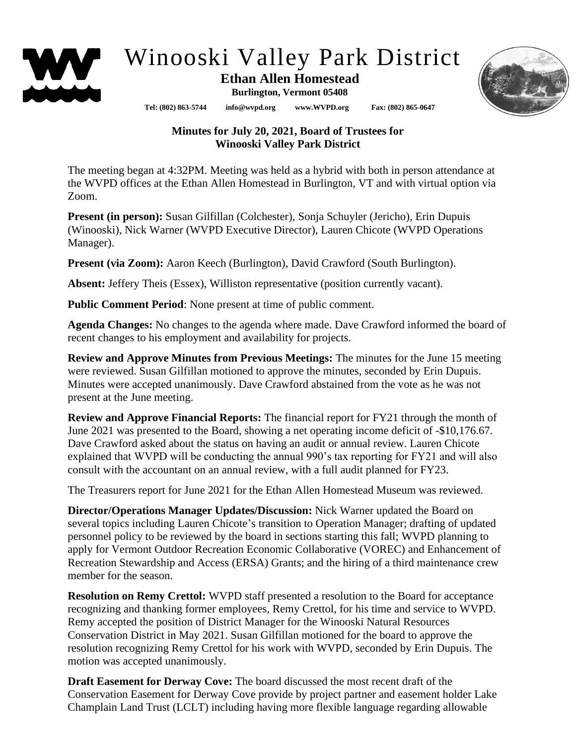

## Winooski Valley Park District

## **Ethan Allen Homestead Burlington, Vermont 05408**

**Tel: (802) 863-5744 info@wvpd.org [www.WVPD.org](http://www.wvpd.org/) Fax: (802) 865-0647** 



## **Minutes for July 20, 2021, Board of Trustees for Winooski Valley Park District**

The meeting began at 4:32PM. Meeting was held as a hybrid with both in person attendance at the WVPD offices at the Ethan Allen Homestead in Burlington, VT and with virtual option via Zoom.

**Present (in person):** Susan Gilfillan (Colchester), Sonja Schuyler (Jericho), Erin Dupuis (Winooski), Nick Warner (WVPD Executive Director), Lauren Chicote (WVPD Operations Manager).

**Present (via Zoom):** Aaron Keech (Burlington), David Crawford (South Burlington).

**Absent:** Jeffery Theis (Essex), Williston representative (position currently vacant).

**Public Comment Period**: None present at time of public comment.

**Agenda Changes:** No changes to the agenda where made. Dave Crawford informed the board of recent changes to his employment and availability for projects.

**Review and Approve Minutes from Previous Meetings:** The minutes for the June 15 meeting were reviewed. Susan Gilfillan motioned to approve the minutes, seconded by Erin Dupuis. Minutes were accepted unanimously. Dave Crawford abstained from the vote as he was not present at the June meeting.

**Review and Approve Financial Reports:** The financial report for FY21 through the month of June 2021 was presented to the Board, showing a net operating income deficit of -\$10,176.67. Dave Crawford asked about the status on having an audit or annual review. Lauren Chicote explained that WVPD will be conducting the annual 990's tax reporting for FY21 and will also consult with the accountant on an annual review, with a full audit planned for FY23.

The Treasurers report for June 2021 for the Ethan Allen Homestead Museum was reviewed.

**Director/Operations Manager Updates/Discussion:** Nick Warner updated the Board on several topics including Lauren Chicote's transition to Operation Manager; drafting of updated personnel policy to be reviewed by the board in sections starting this fall; WVPD planning to apply for Vermont Outdoor Recreation Economic Collaborative (VOREC) and Enhancement of Recreation Stewardship and Access (ERSA) Grants; and the hiring of a third maintenance crew member for the season.

**Resolution on Remy Crettol:** WVPD staff presented a resolution to the Board for acceptance recognizing and thanking former employees, Remy Crettol, for his time and service to WVPD. Remy accepted the position of District Manager for the Winooski Natural Resources Conservation District in May 2021. Susan Gilfillan motioned for the board to approve the resolution recognizing Remy Crettol for his work with WVPD, seconded by Erin Dupuis. The motion was accepted unanimously.

**Draft Easement for Derway Cove:** The board discussed the most recent draft of the Conservation Easement for Derway Cove provide by project partner and easement holder Lake Champlain Land Trust (LCLT) including having more flexible language regarding allowable